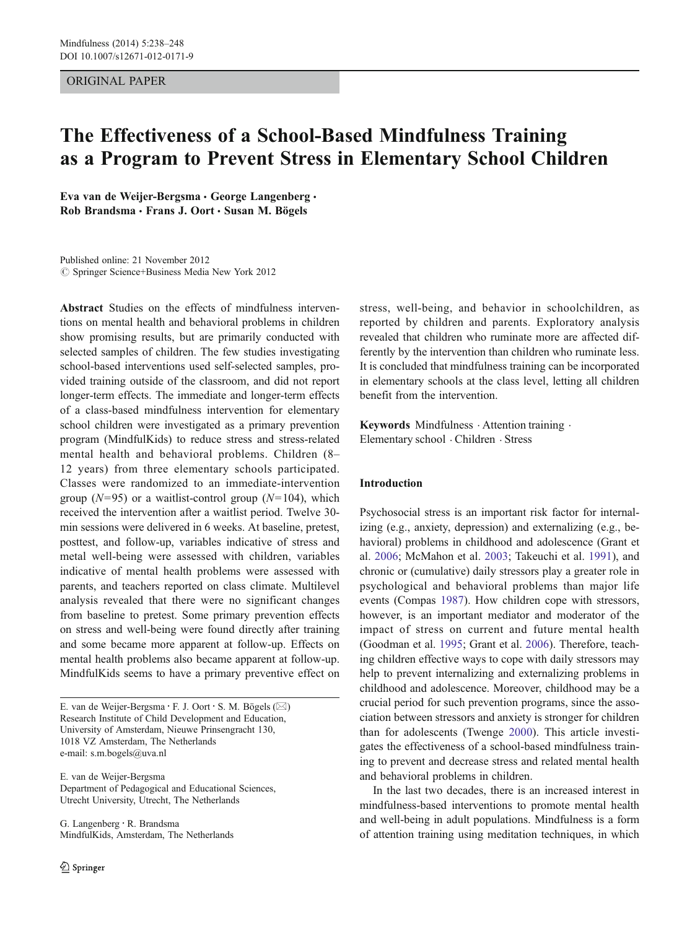### ORIGINAL PAPER

# The Effectiveness of a School-Based Mindfulness Training as a Program to Prevent Stress in Elementary School Children

Eva van de Weijer-Bergsma · George Langenberg · Rob Brandsma · Frans J. Oort · Susan M. Bögels

Published online: 21 November 2012  $\circledcirc$  Springer Science+Business Media New York 2012

Abstract Studies on the effects of mindfulness interventions on mental health and behavioral problems in children show promising results, but are primarily conducted with selected samples of children. The few studies investigating school-based interventions used self-selected samples, provided training outside of the classroom, and did not report longer-term effects. The immediate and longer-term effects of a class-based mindfulness intervention for elementary school children were investigated as a primary prevention program (MindfulKids) to reduce stress and stress-related mental health and behavioral problems. Children (8– 12 years) from three elementary schools participated. Classes were randomized to an immediate-intervention group ( $N=95$ ) or a waitlist-control group ( $N=104$ ), which received the intervention after a waitlist period. Twelve 30 min sessions were delivered in 6 weeks. At baseline, pretest, posttest, and follow-up, variables indicative of stress and metal well-being were assessed with children, variables indicative of mental health problems were assessed with parents, and teachers reported on class climate. Multilevel analysis revealed that there were no significant changes from baseline to pretest. Some primary prevention effects on stress and well-being were found directly after training and some became more apparent at follow-up. Effects on mental health problems also became apparent at follow-up. MindfulKids seems to have a primary preventive effect on

E. van de Weijer-Bergsma  $\cdot$  F. J. Oort  $\cdot$  S. M. Bögels ( $\boxtimes$ ) Research Institute of Child Development and Education, University of Amsterdam, Nieuwe Prinsengracht 130, 1018 VZ Amsterdam, The Netherlands e-mail: s.m.bogels@uva.nl

E. van de Weijer-Bergsma Department of Pedagogical and Educational Sciences, Utrecht University, Utrecht, The Netherlands

G. Langenberg : R. Brandsma MindfulKids, Amsterdam, The Netherlands stress, well-being, and behavior in schoolchildren, as reported by children and parents. Exploratory analysis revealed that children who ruminate more are affected differently by the intervention than children who ruminate less. It is concluded that mindfulness training can be incorporated in elementary schools at the class level, letting all children benefit from the intervention.

Keywords Mindfulness · Attention training · Elementary school . Children . Stress

# Introduction

Psychosocial stress is an important risk factor for internalizing (e.g., anxiety, depression) and externalizing (e.g., behavioral) problems in childhood and adolescence (Grant et al. [2006;](#page-9-0) McMahon et al. [2003;](#page-9-0) Takeuchi et al. [1991\)](#page-10-0), and chronic or (cumulative) daily stressors play a greater role in psychological and behavioral problems than major life events (Compas [1987\)](#page-9-0). How children cope with stressors, however, is an important mediator and moderator of the impact of stress on current and future mental health (Goodman et al. [1995;](#page-9-0) Grant et al. [2006](#page-9-0)). Therefore, teaching children effective ways to cope with daily stressors may help to prevent internalizing and externalizing problems in childhood and adolescence. Moreover, childhood may be a crucial period for such prevention programs, since the association between stressors and anxiety is stronger for children than for adolescents (Twenge [2000](#page-10-0)). This article investigates the effectiveness of a school-based mindfulness training to prevent and decrease stress and related mental health and behavioral problems in children.

In the last two decades, there is an increased interest in mindfulness-based interventions to promote mental health and well-being in adult populations. Mindfulness is a form of attention training using meditation techniques, in which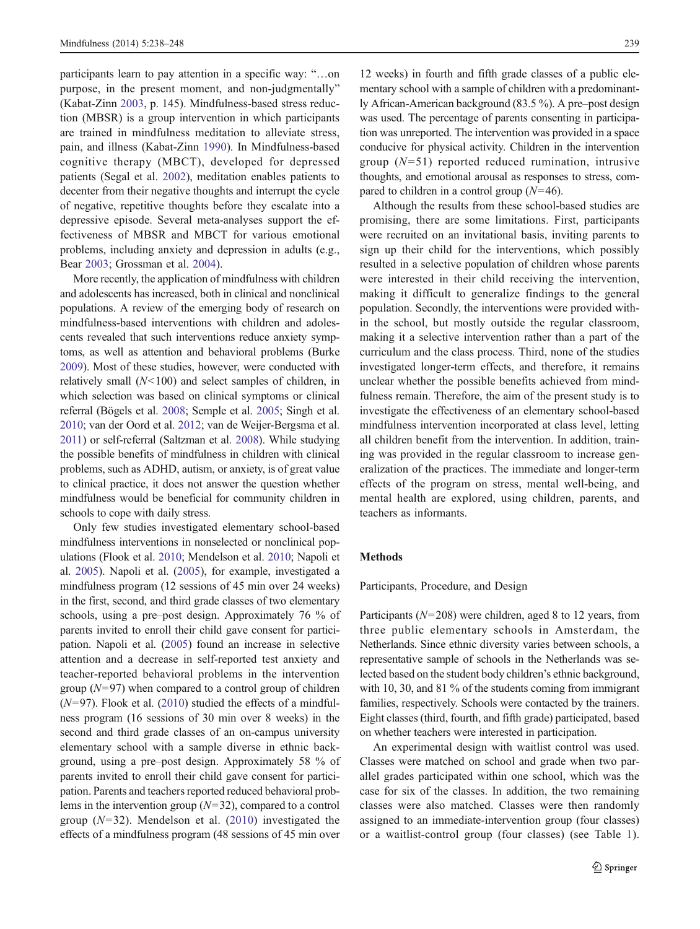participants learn to pay attention in a specific way: "…on purpose, in the present moment, and non-judgmentally" (Kabat-Zinn [2003,](#page-9-0) p. 145). Mindfulness-based stress reduction (MBSR) is a group intervention in which participants are trained in mindfulness meditation to alleviate stress, pain, and illness (Kabat-Zinn [1990\)](#page-9-0). In Mindfulness-based cognitive therapy (MBCT), developed for depressed patients (Segal et al. [2002](#page-10-0)), meditation enables patients to decenter from their negative thoughts and interrupt the cycle of negative, repetitive thoughts before they escalate into a depressive episode. Several meta-analyses support the effectiveness of MBSR and MBCT for various emotional problems, including anxiety and depression in adults (e.g., Bear [2003;](#page-9-0) Grossman et al. [2004\)](#page-9-0).

More recently, the application of mindfulness with children and adolescents has increased, both in clinical and nonclinical populations. A review of the emerging body of research on mindfulness-based interventions with children and adolescents revealed that such interventions reduce anxiety symptoms, as well as attention and behavioral problems (Burke [2009\)](#page-9-0). Most of these studies, however, were conducted with relatively small (N<100) and select samples of children, in which selection was based on clinical symptoms or clinical referral (Bögels et al. [2008;](#page-9-0) Semple et al. [2005;](#page-10-0) Singh et al. [2010;](#page-10-0) van der Oord et al. [2012](#page-10-0); van de Weijer-Bergsma et al. [2011](#page-10-0)) or self-referral (Saltzman et al. [2008](#page-9-0)). While studying the possible benefits of mindfulness in children with clinical problems, such as ADHD, autism, or anxiety, is of great value to clinical practice, it does not answer the question whether mindfulness would be beneficial for community children in schools to cope with daily stress.

Only few studies investigated elementary school-based mindfulness interventions in nonselected or nonclinical populations (Flook et al. [2010](#page-9-0); Mendelson et al. [2010](#page-9-0); Napoli et al. [2005\)](#page-9-0). Napoli et al. ([2005](#page-9-0)), for example, investigated a mindfulness program (12 sessions of 45 min over 24 weeks) in the first, second, and third grade classes of two elementary schools, using a pre–post design. Approximately 76 % of parents invited to enroll their child gave consent for participation. Napoli et al. [\(2005](#page-9-0)) found an increase in selective attention and a decrease in self-reported test anxiety and teacher-reported behavioral problems in the intervention group  $(N=97)$  when compared to a control group of children  $(N=97)$ . Flook et al. [\(2010\)](#page-9-0) studied the effects of a mindfulness program (16 sessions of 30 min over 8 weeks) in the second and third grade classes of an on-campus university elementary school with a sample diverse in ethnic background, using a pre–post design. Approximately 58 % of parents invited to enroll their child gave consent for participation. Parents and teachers reported reduced behavioral problems in the intervention group  $(N=32)$ , compared to a control group ( $N=32$ ). Mendelson et al. ([2010\)](#page-9-0) investigated the effects of a mindfulness program (48 sessions of 45 min over

12 weeks) in fourth and fifth grade classes of a public elementary school with a sample of children with a predominantly African-American background (83.5 %). A pre–post design was used. The percentage of parents consenting in participation was unreported. The intervention was provided in a space conducive for physical activity. Children in the intervention group  $(N=51)$  reported reduced rumination, intrusive thoughts, and emotional arousal as responses to stress, compared to children in a control group  $(N=46)$ .

Although the results from these school-based studies are promising, there are some limitations. First, participants were recruited on an invitational basis, inviting parents to sign up their child for the interventions, which possibly resulted in a selective population of children whose parents were interested in their child receiving the intervention, making it difficult to generalize findings to the general population. Secondly, the interventions were provided within the school, but mostly outside the regular classroom, making it a selective intervention rather than a part of the curriculum and the class process. Third, none of the studies investigated longer-term effects, and therefore, it remains unclear whether the possible benefits achieved from mindfulness remain. Therefore, the aim of the present study is to investigate the effectiveness of an elementary school-based mindfulness intervention incorporated at class level, letting all children benefit from the intervention. In addition, training was provided in the regular classroom to increase generalization of the practices. The immediate and longer-term effects of the program on stress, mental well-being, and mental health are explored, using children, parents, and teachers as informants.

# Methods

Participants, Procedure, and Design

Participants ( $N=208$ ) were children, aged 8 to 12 years, from three public elementary schools in Amsterdam, the Netherlands. Since ethnic diversity varies between schools, a representative sample of schools in the Netherlands was selected based on the student body children's ethnic background, with 10, 30, and 81 % of the students coming from immigrant families, respectively. Schools were contacted by the trainers. Eight classes (third, fourth, and fifth grade) participated, based on whether teachers were interested in participation.

An experimental design with waitlist control was used. Classes were matched on school and grade when two parallel grades participated within one school, which was the case for six of the classes. In addition, the two remaining classes were also matched. Classes were then randomly assigned to an immediate-intervention group (four classes) or a waitlist-control group (four classes) (see Table [1](#page-2-0)).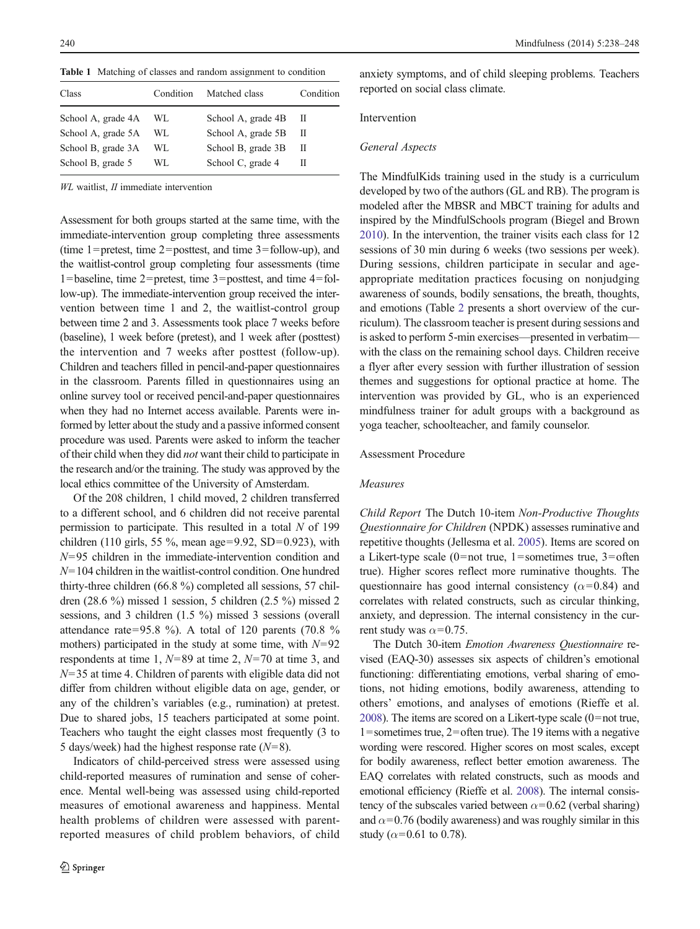<span id="page-2-0"></span>Table 1 Matching of classes and random assignment to condition

| Class              | Condition | Matched class      | Condition |
|--------------------|-----------|--------------------|-----------|
| School A, grade 4A | WL        | School A, grade 4B | - 11      |
| School A, grade 5A | WL.       | School A, grade 5B | H         |
| School B, grade 3A | WL.       | School B, grade 3B | Ш         |
| School B, grade 5  | WL.       | School C, grade 4  | Ш         |

WL waitlist, *II* immediate intervention

Assessment for both groups started at the same time, with the immediate-intervention group completing three assessments (time 1=pretest, time 2=posttest, and time 3=follow-up), and the waitlist-control group completing four assessments (time 1=baseline, time 2=pretest, time 3=posttest, and time  $4=$  follow-up). The immediate-intervention group received the intervention between time 1 and 2, the waitlist-control group between time 2 and 3. Assessments took place 7 weeks before (baseline), 1 week before (pretest), and 1 week after (posttest) the intervention and 7 weeks after posttest (follow-up). Children and teachers filled in pencil-and-paper questionnaires in the classroom. Parents filled in questionnaires using an online survey tool or received pencil-and-paper questionnaires when they had no Internet access available. Parents were informed by letter about the study and a passive informed consent procedure was used. Parents were asked to inform the teacher of their child when they did not want their child to participate in the research and/or the training. The study was approved by the local ethics committee of the University of Amsterdam.

Of the 208 children, 1 child moved, 2 children transferred to a different school, and 6 children did not receive parental permission to participate. This resulted in a total  $N$  of 199 children (110 girls, 55 %, mean age=9.92, SD=0.923), with  $N=95$  children in the immediate-intervention condition and  $N=104$  children in the waitlist-control condition. One hundred thirty-three children (66.8 %) completed all sessions, 57 children (28.6 %) missed 1 session, 5 children (2.5 %) missed 2 sessions, and 3 children (1.5 %) missed 3 sessions (overall attendance rate=95.8 %). A total of 120 parents (70.8 %) mothers) participated in the study at some time, with  $N=92$ respondents at time 1,  $N=89$  at time 2,  $N=70$  at time 3, and  $N=35$  at time 4. Children of parents with eligible data did not differ from children without eligible data on age, gender, or any of the children's variables (e.g., rumination) at pretest. Due to shared jobs, 15 teachers participated at some point. Teachers who taught the eight classes most frequently (3 to 5 days/week) had the highest response rate  $(N=8)$ .

Indicators of child-perceived stress were assessed using child-reported measures of rumination and sense of coherence. Mental well-being was assessed using child-reported measures of emotional awareness and happiness. Mental health problems of children were assessed with parentreported measures of child problem behaviors, of child

anxiety symptoms, and of child sleeping problems. Teachers reported on social class climate.

#### Intervention

#### General Aspects

The MindfulKids training used in the study is a curriculum developed by two of the authors (GL and RB). The program is modeled after the MBSR and MBCT training for adults and inspired by the MindfulSchools program (Biegel and Brown [2010\)](#page-9-0). In the intervention, the trainer visits each class for 12 sessions of 30 min during 6 weeks (two sessions per week). During sessions, children participate in secular and ageappropriate meditation practices focusing on nonjudging awareness of sounds, bodily sensations, the breath, thoughts, and emotions (Table [2](#page-3-0) presents a short overview of the curriculum). The classroom teacher is present during sessions and is asked to perform 5-min exercises—presented in verbatim with the class on the remaining school days. Children receive a flyer after every session with further illustration of session themes and suggestions for optional practice at home. The intervention was provided by GL, who is an experienced mindfulness trainer for adult groups with a background as yoga teacher, schoolteacher, and family counselor.

# Assessment Procedure

#### Measures

Child Report The Dutch 10-item Non-Productive Thoughts Questionnaire for Children (NPDK) assesses ruminative and repetitive thoughts (Jellesma et al. [2005](#page-9-0)). Items are scored on a Likert-type scale (0=not true, 1=sometimes true, 3=often true). Higher scores reflect more ruminative thoughts. The questionnaire has good internal consistency ( $\alpha$ =0.84) and correlates with related constructs, such as circular thinking, anxiety, and depression. The internal consistency in the current study was  $\alpha$ =0.75.

The Dutch 30-item Emotion Awareness Questionnaire revised (EAQ-30) assesses six aspects of children's emotional functioning: differentiating emotions, verbal sharing of emotions, not hiding emotions, bodily awareness, attending to others' emotions, and analyses of emotions (Rieffe et al. [2008](#page-9-0)). The items are scored on a Likert-type scale  $(0=$  not true, 1=sometimes true,  $2=$ often true). The 19 items with a negative wording were rescored. Higher scores on most scales, except for bodily awareness, reflect better emotion awareness. The EAQ correlates with related constructs, such as moods and emotional efficiency (Rieffe et al. [2008\)](#page-9-0). The internal consistency of the subscales varied between  $\alpha$ =0.62 (verbal sharing) and  $\alpha$ =0.76 (bodily awareness) and was roughly similar in this study ( $\alpha$ =0.61 to 0.78).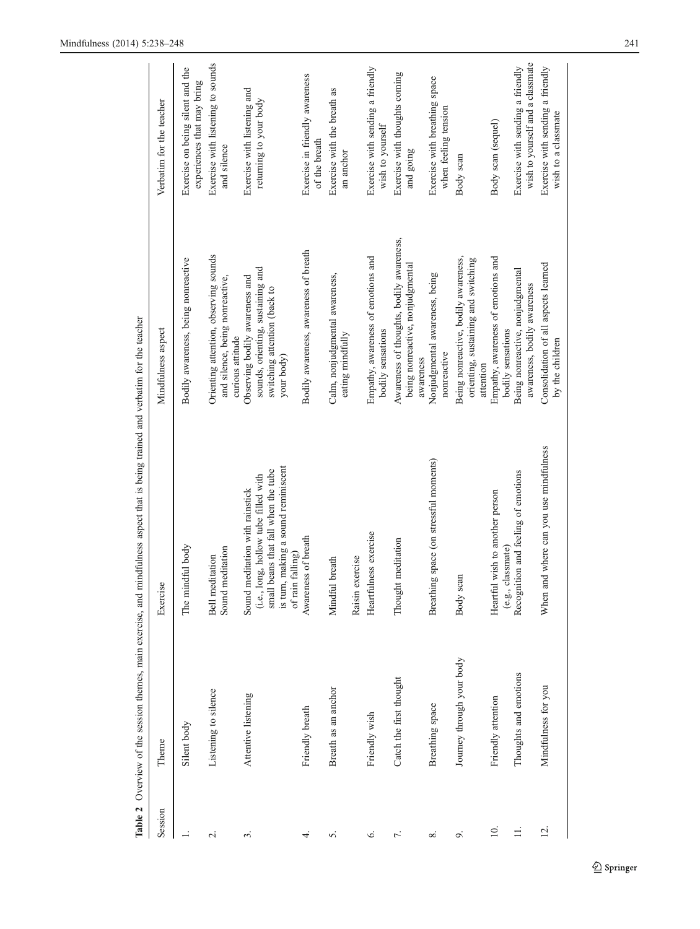<span id="page-3-0"></span>

| Session                  | Theme                     | Exercise                                                                                                                                                                     | Mindfulness aspect                                                                                                | Verbatim for the teacher                                             |
|--------------------------|---------------------------|------------------------------------------------------------------------------------------------------------------------------------------------------------------------------|-------------------------------------------------------------------------------------------------------------------|----------------------------------------------------------------------|
|                          | Silent body               | The mindful body                                                                                                                                                             | Bodily awareness, being nonreactive                                                                               | Exercise on being silent and the<br>experiences that may bring       |
| $\overline{\mathcal{C}}$ | Listening to silence      | meditation<br><b>Bell</b> meditation<br>Sound                                                                                                                                | Orienting attention, observing sounds<br>and silence, being nonreactive,<br>curious attitude                      | Exercise with listening to sounds<br>and silence                     |
| $\dot{\tilde{z}}$        | Attentive listening       | is turn, making a sound reminiscent<br>small beans that fall when the tube<br>(i.e., long, hollow tube filled with<br>meditation with rainstick<br>of rain falling)<br>Sound | sounds, orienting, sustaining and<br>Observing bodily awareness and<br>switching attention (back to<br>your body) | Exercise with listening and<br>returning to your body                |
| 4.                       | Friendly breath           | Awareness of breath                                                                                                                                                          | Bodily awareness, awareness of breath                                                                             | Exercise in friendly awareness<br>of the breath                      |
| 5.                       | Breath as an anchor       | exercise<br>Mindful breath<br>Raisin                                                                                                                                         | Calm, nonjudgmental awareness,<br>eating mindfully                                                                | Exercise with the breath as<br>an anchor                             |
| 6.                       | Friendly wish             | Heartfulness exercise                                                                                                                                                        | Empathy, awareness of emotions and<br>bodily sensations                                                           | Exercise with sending a friendly<br>wish to yourself                 |
| 7.                       | Catch the first thought   | Thought meditation                                                                                                                                                           | Awareness of thoughts, bodily awareness,<br>being nonreactive, nonjudgmental<br>awareness                         | Exercise with thoughts coming<br>and going                           |
| œ.                       | Breathing space           | Breathing space (on stressful moments)                                                                                                                                       | Nonjudgmental awareness, being<br>nonreactive                                                                     | Exercise with breathing space<br>when feeling tension                |
| o,                       | Journey through your body | scan<br>Body:                                                                                                                                                                | Being nonreactive, bodily awareness,<br>orienting, sustaining and switching<br>attention                          | Body scan                                                            |
| 10.                      | Friendly attention        | Heartful wish to another person<br>(e.g., classmate)                                                                                                                         | Empathy, awareness of emotions and<br>bodily sensations                                                           | Body scan (sequel)                                                   |
| 11.                      | Thoughts and emotions     | Recognition and feeling of emotions                                                                                                                                          | Being nonreactive, nonjudgmental<br>awareness, bodily awareness                                                   | wish to yourself and a classmate<br>Exercise with sending a friendly |
| 12.                      | Mindfulness for you       | and where can you use mindfulness<br>When                                                                                                                                    | Consolidation of all aspects learned<br>by the children                                                           | Exercise with sending a friendly<br>wish to a classmate              |
|                          |                           |                                                                                                                                                                              |                                                                                                                   |                                                                      |

Table 2 Overview of the session themes, main exercise, and mindfulness aspect that is being trained and verbatim for the teacher Table 2 Overview of the session themes, main exercise, and mindfulness aspect that is being trained and verbatim for the teacher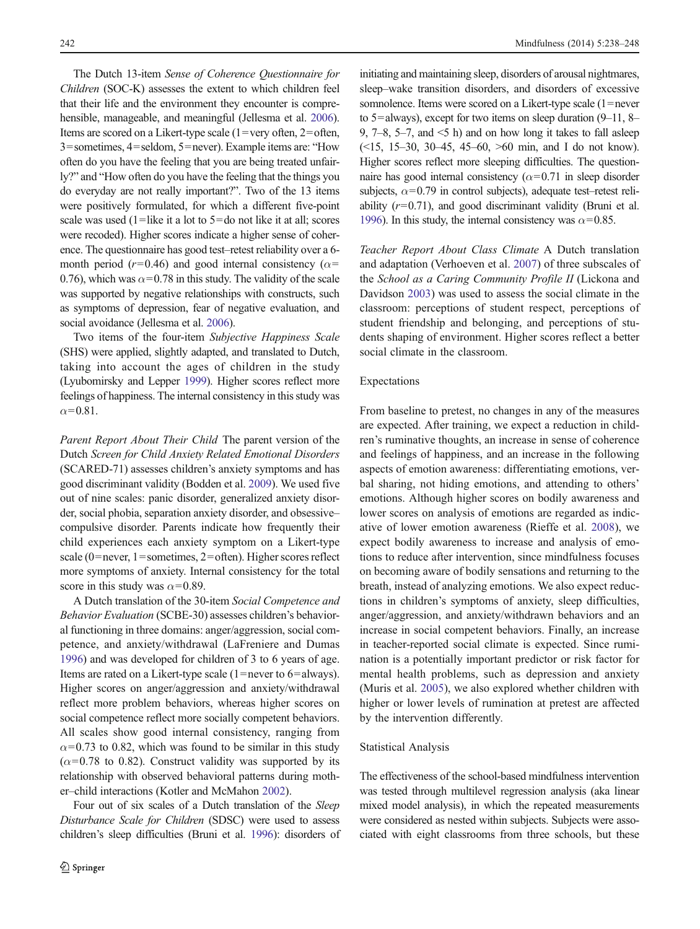The Dutch 13-item Sense of Coherence Questionnaire for Children (SOC-K) assesses the extent to which children feel that their life and the environment they encounter is comprehensible, manageable, and meaningful (Jellesma et al. [2006\)](#page-9-0). Items are scored on a Likert-type scale  $(1=$ very often,  $2=$ often, 3=sometimes, 4=seldom, 5=never). Example items are: "How often do you have the feeling that you are being treated unfairly?" and "How often do you have the feeling that the things you do everyday are not really important?". Two of the 13 items were positively formulated, for which a different five-point scale was used (1=like it a lot to  $5=$ do not like it at all; scores were recoded). Higher scores indicate a higher sense of coherence. The questionnaire has good test–retest reliability over a 6 month period ( $r=0.46$ ) and good internal consistency ( $\alpha$ = 0.76), which was  $\alpha$ =0.78 in this study. The validity of the scale was supported by negative relationships with constructs, such as symptoms of depression, fear of negative evaluation, and social avoidance (Jellesma et al. [2006](#page-9-0)).

Two items of the four-item Subjective Happiness Scale (SHS) were applied, slightly adapted, and translated to Dutch, taking into account the ages of children in the study (Lyubomirsky and Lepper [1999\)](#page-9-0). Higher scores reflect more feelings of happiness. The internal consistency in this study was  $\alpha = 0.81$ .

Parent Report About Their Child The parent version of the Dutch Screen for Child Anxiety Related Emotional Disorders (SCARED-71) assesses children's anxiety symptoms and has good discriminant validity (Bodden et al. [2009](#page-9-0)). We used five out of nine scales: panic disorder, generalized anxiety disorder, social phobia, separation anxiety disorder, and obsessive– compulsive disorder. Parents indicate how frequently their child experiences each anxiety symptom on a Likert-type scale (0=never, 1=sometimes, 2=often). Higher scores reflect more symptoms of anxiety. Internal consistency for the total score in this study was  $\alpha$ =0.89.

A Dutch translation of the 30-item Social Competence and Behavior Evaluation (SCBE-30) assesses children's behavioral functioning in three domains: anger/aggression, social competence, and anxiety/withdrawal (LaFreniere and Dumas [1996\)](#page-9-0) and was developed for children of 3 to 6 years of age. Items are rated on a Likert-type scale (1=never to 6=always). Higher scores on anger/aggression and anxiety/withdrawal reflect more problem behaviors, whereas higher scores on social competence reflect more socially competent behaviors. All scales show good internal consistency, ranging from  $\alpha$ =0.73 to 0.82, which was found to be similar in this study  $(\alpha=0.78$  to 0.82). Construct validity was supported by its relationship with observed behavioral patterns during mother–child interactions (Kotler and McMahon [2002\)](#page-9-0).

Four out of six scales of a Dutch translation of the Sleep Disturbance Scale for Children (SDSC) were used to assess children's sleep difficulties (Bruni et al. [1996\)](#page-9-0): disorders of

initiating and maintaining sleep, disorders of arousal nightmares, sleep–wake transition disorders, and disorders of excessive somnolence. Items were scored on a Likert-type scale  $(1=$ never to 5=always), except for two items on sleep duration  $(9-11, 8-$ 9, 7–8, 5–7, and  $\leq 5$  h) and on how long it takes to fall asleep ( $\leq$ 15, 15–30, 30–45, 45–60,  $\geq$ 60 min, and I do not know). Higher scores reflect more sleeping difficulties. The questionnaire has good internal consistency ( $\alpha$ =0.71 in sleep disorder subjects,  $\alpha$ =0.79 in control subjects), adequate test–retest reliability  $(r=0.71)$ , and good discriminant validity (Bruni et al. [1996](#page-9-0)). In this study, the internal consistency was  $\alpha$ =0.85.

Teacher Report About Class Climate A Dutch translation and adaptation (Verhoeven et al. [2007](#page-10-0)) of three subscales of the School as a Caring Community Profile II (Lickona and Davidson [2003\)](#page-9-0) was used to assess the social climate in the classroom: perceptions of student respect, perceptions of student friendship and belonging, and perceptions of students shaping of environment. Higher scores reflect a better social climate in the classroom.

#### Expectations

From baseline to pretest, no changes in any of the measures are expected. After training, we expect a reduction in children's ruminative thoughts, an increase in sense of coherence and feelings of happiness, and an increase in the following aspects of emotion awareness: differentiating emotions, verbal sharing, not hiding emotions, and attending to others' emotions. Although higher scores on bodily awareness and lower scores on analysis of emotions are regarded as indicative of lower emotion awareness (Rieffe et al. [2008](#page-9-0)), we expect bodily awareness to increase and analysis of emotions to reduce after intervention, since mindfulness focuses on becoming aware of bodily sensations and returning to the breath, instead of analyzing emotions. We also expect reductions in children's symptoms of anxiety, sleep difficulties, anger/aggression, and anxiety/withdrawn behaviors and an increase in social competent behaviors. Finally, an increase in teacher-reported social climate is expected. Since rumination is a potentially important predictor or risk factor for mental health problems, such as depression and anxiety (Muris et al. [2005\)](#page-9-0), we also explored whether children with higher or lower levels of rumination at pretest are affected by the intervention differently.

#### Statistical Analysis

The effectiveness of the school-based mindfulness intervention was tested through multilevel regression analysis (aka linear mixed model analysis), in which the repeated measurements were considered as nested within subjects. Subjects were associated with eight classrooms from three schools, but these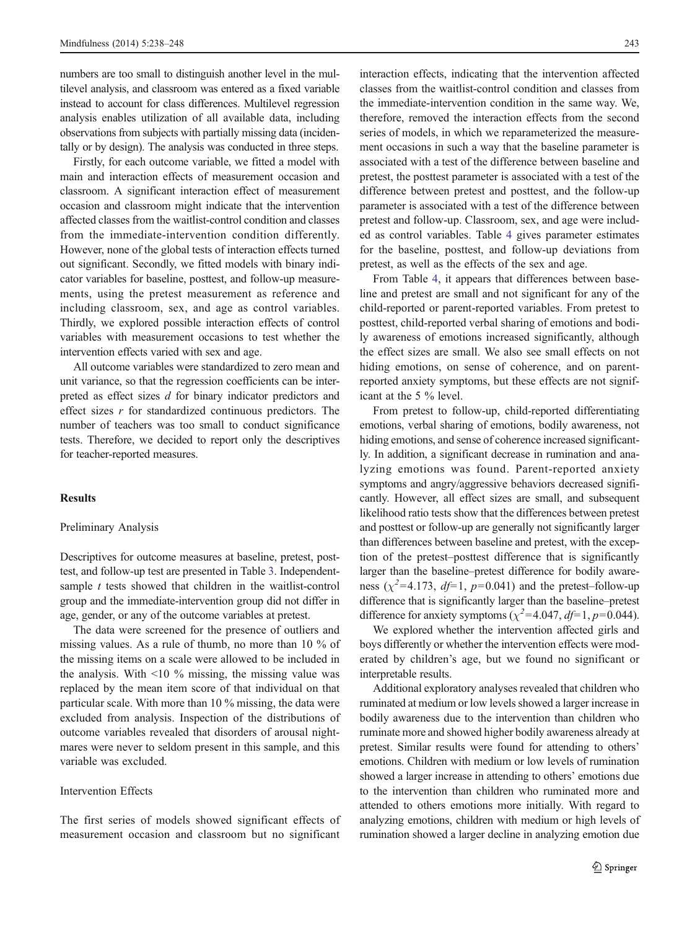numbers are too small to distinguish another level in the multilevel analysis, and classroom was entered as a fixed variable instead to account for class differences. Multilevel regression analysis enables utilization of all available data, including observations from subjects with partially missing data (incidentally or by design). The analysis was conducted in three steps.

Firstly, for each outcome variable, we fitted a model with main and interaction effects of measurement occasion and classroom. A significant interaction effect of measurement occasion and classroom might indicate that the intervention affected classes from the waitlist-control condition and classes from the immediate-intervention condition differently. However, none of the global tests of interaction effects turned out significant. Secondly, we fitted models with binary indicator variables for baseline, posttest, and follow-up measurements, using the pretest measurement as reference and including classroom, sex, and age as control variables. Thirdly, we explored possible interaction effects of control variables with measurement occasions to test whether the intervention effects varied with sex and age.

All outcome variables were standardized to zero mean and unit variance, so that the regression coefficients can be interpreted as effect sizes d for binary indicator predictors and effect sizes  $r$  for standardized continuous predictors. The number of teachers was too small to conduct significance tests. Therefore, we decided to report only the descriptives for teacher-reported measures.

# **Results**

#### Preliminary Analysis

Descriptives for outcome measures at baseline, pretest, posttest, and follow-up test are presented in Table [3](#page-6-0). Independentsample *t* tests showed that children in the waitlist-control group and the immediate-intervention group did not differ in age, gender, or any of the outcome variables at pretest.

The data were screened for the presence of outliers and missing values. As a rule of thumb, no more than 10 % of the missing items on a scale were allowed to be included in the analysis. With  $\leq 10$  % missing, the missing value was replaced by the mean item score of that individual on that particular scale. With more than 10 % missing, the data were excluded from analysis. Inspection of the distributions of outcome variables revealed that disorders of arousal nightmares were never to seldom present in this sample, and this variable was excluded.

# Intervention Effects

The first series of models showed significant effects of measurement occasion and classroom but no significant

interaction effects, indicating that the intervention affected classes from the waitlist-control condition and classes from the immediate-intervention condition in the same way. We, therefore, removed the interaction effects from the second series of models, in which we reparameterized the measurement occasions in such a way that the baseline parameter is associated with a test of the difference between baseline and pretest, the posttest parameter is associated with a test of the difference between pretest and posttest, and the follow-up parameter is associated with a test of the difference between pretest and follow-up. Classroom, sex, and age were included as control variables. Table [4](#page-7-0) gives parameter estimates for the baseline, posttest, and follow-up deviations from pretest, as well as the effects of the sex and age.

From Table [4,](#page-7-0) it appears that differences between baseline and pretest are small and not significant for any of the child-reported or parent-reported variables. From pretest to posttest, child-reported verbal sharing of emotions and bodily awareness of emotions increased significantly, although the effect sizes are small. We also see small effects on not hiding emotions, on sense of coherence, and on parentreported anxiety symptoms, but these effects are not significant at the 5 % level.

From pretest to follow-up, child-reported differentiating emotions, verbal sharing of emotions, bodily awareness, not hiding emotions, and sense of coherence increased significantly. In addition, a significant decrease in rumination and analyzing emotions was found. Parent-reported anxiety symptoms and angry/aggressive behaviors decreased significantly. However, all effect sizes are small, and subsequent likelihood ratio tests show that the differences between pretest and posttest or follow-up are generally not significantly larger than differences between baseline and pretest, with the exception of the pretest–posttest difference that is significantly larger than the baseline–pretest difference for bodily awareness  $(\chi^2=4.173, df=1, p=0.041)$  and the pretest–follow-up difference that is significantly larger than the baseline–pretest difference for anxiety symptoms ( $\chi^2$ =4.047, df=1, p=0.044).

We explored whether the intervention affected girls and boys differently or whether the intervention effects were moderated by children's age, but we found no significant or interpretable results.

Additional exploratory analyses revealed that children who ruminated at medium or low levels showed a larger increase in bodily awareness due to the intervention than children who ruminate more and showed higher bodily awareness already at pretest. Similar results were found for attending to others' emotions. Children with medium or low levels of rumination showed a larger increase in attending to others' emotions due to the intervention than children who ruminated more and attended to others emotions more initially. With regard to analyzing emotions, children with medium or high levels of rumination showed a larger decline in analyzing emotion due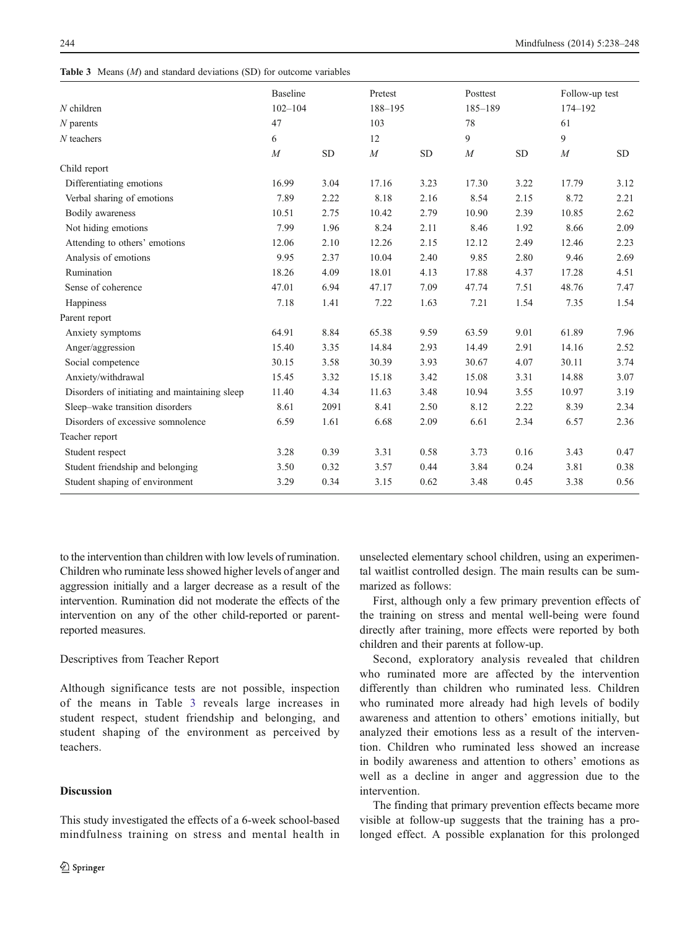<span id="page-6-0"></span>**Table 3** Means  $(M)$  and standard deviations  $(SD)$  for outcome variables

|                                               | <b>Baseline</b>  |           | Pretest |           | Posttest |           | Follow-up test |           |
|-----------------------------------------------|------------------|-----------|---------|-----------|----------|-----------|----------------|-----------|
| $N$ children                                  | $102 - 104$      |           | 188-195 |           | 185-189  |           | 174-192        |           |
| $N$ parents                                   | 47               |           | 103     |           | 78       |           | 61             |           |
| N teachers                                    | 6                |           | 12      |           | 9        |           | 9              |           |
|                                               | $\boldsymbol{M}$ | <b>SD</b> | M       | <b>SD</b> | $\cal M$ | <b>SD</b> | $\overline{M}$ | <b>SD</b> |
| Child report                                  |                  |           |         |           |          |           |                |           |
| Differentiating emotions                      | 16.99            | 3.04      | 17.16   | 3.23      | 17.30    | 3.22      | 17.79          | 3.12      |
| Verbal sharing of emotions                    | 7.89             | 2.22      | 8.18    | 2.16      | 8.54     | 2.15      | 8.72           | 2.21      |
| Bodily awareness                              | 10.51            | 2.75      | 10.42   | 2.79      | 10.90    | 2.39      | 10.85          | 2.62      |
| Not hiding emotions                           | 7.99             | 1.96      | 8.24    | 2.11      | 8.46     | 1.92      | 8.66           | 2.09      |
| Attending to others' emotions                 | 12.06            | 2.10      | 12.26   | 2.15      | 12.12    | 2.49      | 12.46          | 2.23      |
| Analysis of emotions                          | 9.95             | 2.37      | 10.04   | 2.40      | 9.85     | 2.80      | 9.46           | 2.69      |
| Rumination                                    | 18.26            | 4.09      | 18.01   | 4.13      | 17.88    | 4.37      | 17.28          | 4.51      |
| Sense of coherence                            | 47.01            | 6.94      | 47.17   | 7.09      | 47.74    | 7.51      | 48.76          | 7.47      |
| Happiness                                     | 7.18             | 1.41      | 7.22    | 1.63      | 7.21     | 1.54      | 7.35           | 1.54      |
| Parent report                                 |                  |           |         |           |          |           |                |           |
| Anxiety symptoms                              | 64.91            | 8.84      | 65.38   | 9.59      | 63.59    | 9.01      | 61.89          | 7.96      |
| Anger/aggression                              | 15.40            | 3.35      | 14.84   | 2.93      | 14.49    | 2.91      | 14.16          | 2.52      |
| Social competence                             | 30.15            | 3.58      | 30.39   | 3.93      | 30.67    | 4.07      | 30.11          | 3.74      |
| Anxiety/withdrawal                            | 15.45            | 3.32      | 15.18   | 3.42      | 15.08    | 3.31      | 14.88          | 3.07      |
| Disorders of initiating and maintaining sleep | 11.40            | 4.34      | 11.63   | 3.48      | 10.94    | 3.55      | 10.97          | 3.19      |
| Sleep-wake transition disorders               | 8.61             | 2091      | 8.41    | 2.50      | 8.12     | 2.22      | 8.39           | 2.34      |
| Disorders of excessive somnolence             | 6.59             | 1.61      | 6.68    | 2.09      | 6.61     | 2.34      | 6.57           | 2.36      |
| Teacher report                                |                  |           |         |           |          |           |                |           |
| Student respect                               | 3.28             | 0.39      | 3.31    | 0.58      | 3.73     | 0.16      | 3.43           | 0.47      |
| Student friendship and belonging              | 3.50             | 0.32      | 3.57    | 0.44      | 3.84     | 0.24      | 3.81           | 0.38      |
| Student shaping of environment                | 3.29             | 0.34      | 3.15    | 0.62      | 3.48     | 0.45      | 3.38           | 0.56      |
|                                               |                  |           |         |           |          |           |                |           |

to the intervention than children with low levels of rumination. Children who ruminate less showed higher levels of anger and aggression initially and a larger decrease as a result of the intervention. Rumination did not moderate the effects of the intervention on any of the other child-reported or parentreported measures.

# Descriptives from Teacher Report

Although significance tests are not possible, inspection of the means in Table 3 reveals large increases in student respect, student friendship and belonging, and student shaping of the environment as perceived by teachers.

# Discussion

This study investigated the effects of a 6-week school-based mindfulness training on stress and mental health in unselected elementary school children, using an experimental waitlist controlled design. The main results can be summarized as follows:

First, although only a few primary prevention effects of the training on stress and mental well-being were found directly after training, more effects were reported by both children and their parents at follow-up.

Second, exploratory analysis revealed that children who ruminated more are affected by the intervention differently than children who ruminated less. Children who ruminated more already had high levels of bodily awareness and attention to others' emotions initially, but analyzed their emotions less as a result of the intervention. Children who ruminated less showed an increase in bodily awareness and attention to others' emotions as well as a decline in anger and aggression due to the intervention.

The finding that primary prevention effects became more visible at follow-up suggests that the training has a prolonged effect. A possible explanation for this prolonged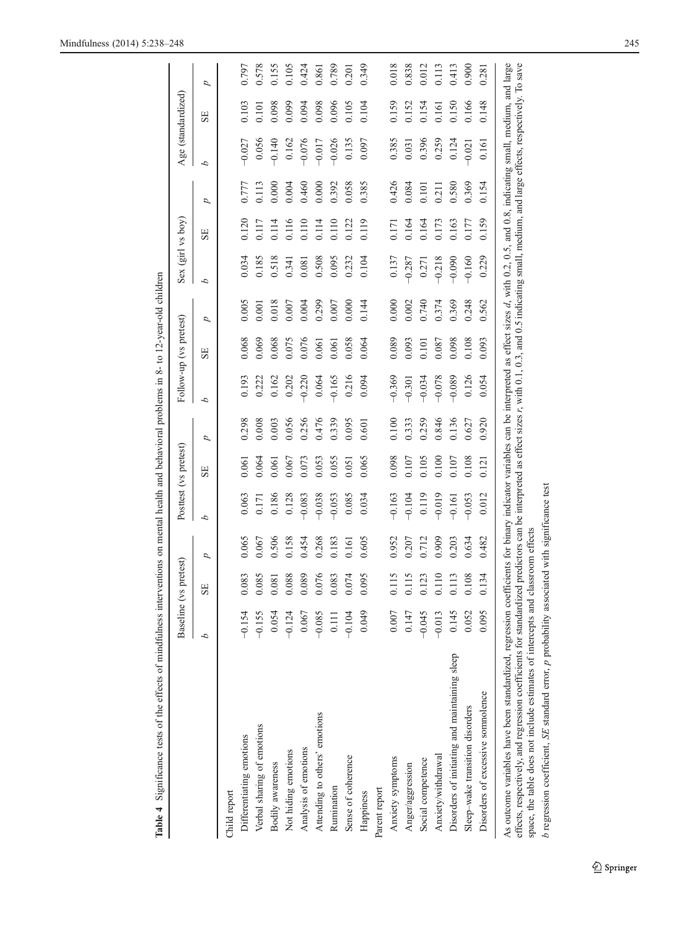Table 4 Significance tests of the effects of mindfulness interventions on mental health and behavioral problems in 8- to 12-year-old children

Table 4 Significance tests of the effects of mindfulness interventions on mental health and behavioral problems in 8- to 12-year-old children

<span id="page-7-0"></span>

|                                                                                                                                                                                                                                                                                                                                                                 | Baseline (vs | pretest)  |       |          | Posttest (vs pretest) |       |          | Follow-up (vs pretest) |       | Sex (girl vs boy) |       |       |                                                                                                                                            | Age (standardized) |       |
|-----------------------------------------------------------------------------------------------------------------------------------------------------------------------------------------------------------------------------------------------------------------------------------------------------------------------------------------------------------------|--------------|-----------|-------|----------|-----------------------|-------|----------|------------------------|-------|-------------------|-------|-------|--------------------------------------------------------------------------------------------------------------------------------------------|--------------------|-------|
|                                                                                                                                                                                                                                                                                                                                                                 | ς            | SE        | Þ     | Δ        | SE                    | p     | Δ        | SE                     | p     | Δ                 | SE    | p     | ς                                                                                                                                          | SE                 | p     |
| Child report                                                                                                                                                                                                                                                                                                                                                    |              |           |       |          |                       |       |          |                        |       |                   |       |       |                                                                                                                                            |                    |       |
| Differentiating emotions                                                                                                                                                                                                                                                                                                                                        | $-0.154$     | 0.083     | 0.065 | 0.063    | 0.061                 | 1.298 | 0.193    | 0.68                   | 0.005 | 0.034             | 0.120 | 777   | $-0.027$                                                                                                                                   | 0.103              | 1.797 |
| Verbal sharing of emotions                                                                                                                                                                                                                                                                                                                                      | $-0.155$     | 0.085     | 0.067 | 0.171    | 0.064                 | 0.008 | 0.222    | 0.069                  | 0.001 | 0.185             | 0.117 | 0.113 | 0.056                                                                                                                                      | 0.101              | 0.578 |
| Bodily awareness                                                                                                                                                                                                                                                                                                                                                | 0.054        | 0.081     | 0.506 | 0.186    | 0.061                 | 0.003 | 0.162    | 0.068                  | 0.018 | 0.518             | 0.114 | 0.000 | $-0.140$                                                                                                                                   | 0.098              | 0.155 |
| Not hiding emotions                                                                                                                                                                                                                                                                                                                                             | $-0.124$     | 0.088     | 0.158 | 0.128    | 0.067                 | 0.056 | 0.202    | 0.075                  | 0.007 | 0.341             | 0.116 | 0.004 | 0.162                                                                                                                                      | 0.099              | 0.105 |
| Analysis of emotions                                                                                                                                                                                                                                                                                                                                            | 0.067        | 0.089     | 0.454 | $-0.083$ | 0.073                 | 0.256 | $-0.220$ | 0.076                  | 0.004 | 0.081             | 0.110 | 0.460 | $-0.076$                                                                                                                                   | 0.094              | 0.424 |
| Attending to others' emotions                                                                                                                                                                                                                                                                                                                                   | $-0.085$     | 0.076     | 0.268 | $-0.038$ | 0.053                 | 0.476 | 0.064    | 0.061                  | 0.299 | 0.508             | 0.114 | 0.000 | $-0.017$                                                                                                                                   | 0.098              | 0.861 |
| Rumination                                                                                                                                                                                                                                                                                                                                                      | 0.111        | 0.083     | 0.183 | $-0.053$ | 0.055                 | 0.339 | $-0.165$ | 0.061                  | 0.007 | 0.095             | 0.110 | 0.392 | $-0.026$                                                                                                                                   | 0.096              | 0.789 |
| Sense of coherence                                                                                                                                                                                                                                                                                                                                              | $-0.104$     | 0.074     | 0.161 | 0.085    | 0.051                 | 0.095 | 0.216    | 0.058                  | 0.000 | 0.232             | 0.122 | 0.058 | 0.135                                                                                                                                      | 0.105              | 0.201 |
| Happiness                                                                                                                                                                                                                                                                                                                                                       | 0.049        | 0.095     | 0.605 | 0.034    | 0.065                 | 0.601 | 0.094    | 0.064                  | 0.144 | 0.104             | 0.119 | 0.385 | 0.097                                                                                                                                      | 0.104              | 0.349 |
| Parent report                                                                                                                                                                                                                                                                                                                                                   |              |           |       |          |                       |       |          |                        |       |                   |       |       |                                                                                                                                            |                    |       |
| Anxiety symptoms                                                                                                                                                                                                                                                                                                                                                | 0.007        | 115       | 0.952 | $-0.163$ | 0.098                 | 0.100 | $-0.369$ | 0.089                  | 0.000 | 0.137             | 0.171 | 0.426 | 0.385                                                                                                                                      | 0.159              | 0.018 |
| Anger/aggression                                                                                                                                                                                                                                                                                                                                                | 0.147        | 115       | 0.207 | $-0.104$ | 0.107                 | 0.333 | $-0.301$ | 0.093                  | 0.002 | $-0.287$          | 0.164 | 0.084 | 0.031                                                                                                                                      | 0.152              | 0.838 |
| Social competence                                                                                                                                                                                                                                                                                                                                               | $-0.045$     | 123       | 0.712 | 0.119    | 0.105                 | 0.259 | $-0.034$ | 0.101                  | 0.740 | 0.271             | 0.164 | 0.101 | 0.396                                                                                                                                      | 0.154              | 0.012 |
| Anxiety/withdrawal                                                                                                                                                                                                                                                                                                                                              | $-0.013$     | 110       | 0.909 | $-0.019$ | 0.100                 | 0.846 | $-0.078$ | 0.087                  | 0.374 | $-0.218$          | 0.173 | 0.211 | 0.259                                                                                                                                      | 0.161              | 0.113 |
| Disorders of initiating and maintaining sleep                                                                                                                                                                                                                                                                                                                   | 0.145        | 113       | 0.203 | $-0.161$ | 0.107                 | 0.136 | $-0.089$ | 0.098                  | 0.369 | $-0.090$          | 0.163 | 0.580 | 0.124                                                                                                                                      | 0.150              | 0.413 |
| Sleep-wake transition disorders                                                                                                                                                                                                                                                                                                                                 | 0.052        | 108<br>ö  | 0.634 | $-0.053$ | 0.108                 | .627  | 0.126    | 0.108                  | 0.248 | $-0.160$          | 0.177 | 0.369 | $-0.021$                                                                                                                                   | 0.166              | 0.900 |
| Disorders of excessive somnolence                                                                                                                                                                                                                                                                                                                               | 0.095        | 134<br>Ò. | 0.482 | 0.012    | 0.121                 | 0.920 | 0.054    | 0.093                  | 0.562 | 0.229             | 0.159 | 0.154 | 0.161                                                                                                                                      | 0.148              | 0.281 |
| As outcome variables have been standardized, regression coefficients for binary indicator variables can be interpreted as effect sizes d, with 0.2, 0.5, and 0.8, indicating small, medium, and large<br>space, the table does not include estimates of intercepts and classroom effects<br>effects, respectively, and regression coefficients for standardized |              |           |       |          |                       |       |          |                        |       |                   |       |       | predictors can be interpreted as effect sizes r, with 0.1, 0.3, and 0.5 indicating small, medium, and large effects, respectively. To save |                    |       |

 $b$  regression coefficient, SE standard error,  $p$  probability associated with significance test regression coefficient, SE standard error, p probability associated with significance test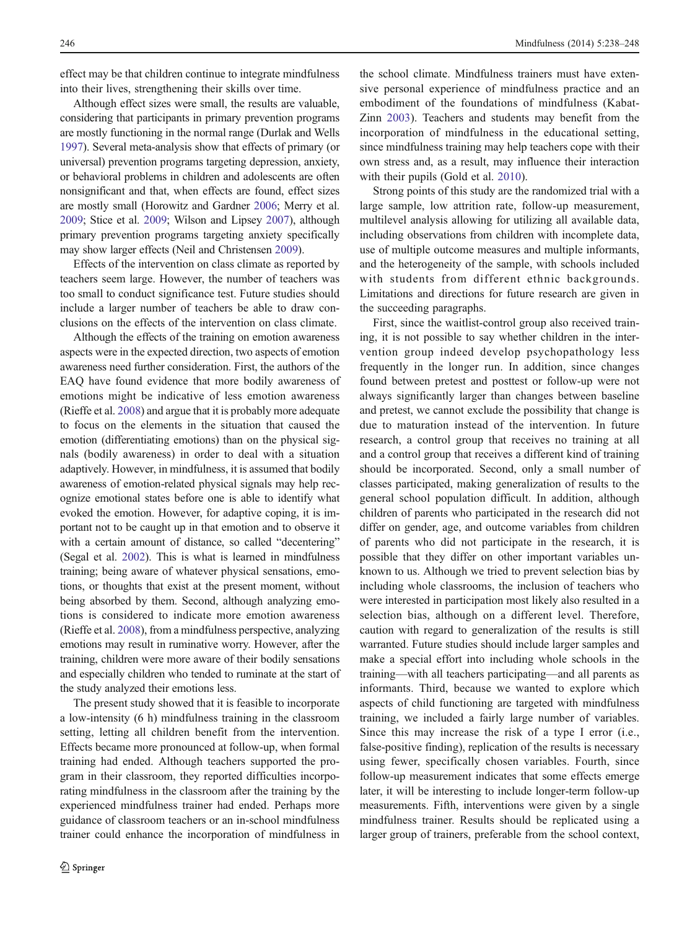effect may be that children continue to integrate mindfulness into their lives, strengthening their skills over time.

Although effect sizes were small, the results are valuable, considering that participants in primary prevention programs are mostly functioning in the normal range (Durlak and Wells [1997\)](#page-9-0). Several meta-analysis show that effects of primary (or universal) prevention programs targeting depression, anxiety, or behavioral problems in children and adolescents are often nonsignificant and that, when effects are found, effect sizes are mostly small (Horowitz and Gardner [2006;](#page-9-0) Merry et al. [2009;](#page-9-0) Stice et al. [2009;](#page-10-0) Wilson and Lipsey [2007](#page-10-0)), although primary prevention programs targeting anxiety specifically may show larger effects (Neil and Christensen [2009\)](#page-9-0).

Effects of the intervention on class climate as reported by teachers seem large. However, the number of teachers was too small to conduct significance test. Future studies should include a larger number of teachers be able to draw conclusions on the effects of the intervention on class climate.

Although the effects of the training on emotion awareness aspects were in the expected direction, two aspects of emotion awareness need further consideration. First, the authors of the EAQ have found evidence that more bodily awareness of emotions might be indicative of less emotion awareness (Rieffe et al. [2008\)](#page-9-0) and argue that it is probably more adequate to focus on the elements in the situation that caused the emotion (differentiating emotions) than on the physical signals (bodily awareness) in order to deal with a situation adaptively. However, in mindfulness, it is assumed that bodily awareness of emotion-related physical signals may help recognize emotional states before one is able to identify what evoked the emotion. However, for adaptive coping, it is important not to be caught up in that emotion and to observe it with a certain amount of distance, so called "decentering" (Segal et al. [2002](#page-10-0)). This is what is learned in mindfulness training; being aware of whatever physical sensations, emotions, or thoughts that exist at the present moment, without being absorbed by them. Second, although analyzing emotions is considered to indicate more emotion awareness (Rieffe et al. [2008\)](#page-9-0), from a mindfulness perspective, analyzing emotions may result in ruminative worry. However, after the training, children were more aware of their bodily sensations and especially children who tended to ruminate at the start of the study analyzed their emotions less.

The present study showed that it is feasible to incorporate a low-intensity (6 h) mindfulness training in the classroom setting, letting all children benefit from the intervention. Effects became more pronounced at follow-up, when formal training had ended. Although teachers supported the program in their classroom, they reported difficulties incorporating mindfulness in the classroom after the training by the experienced mindfulness trainer had ended. Perhaps more guidance of classroom teachers or an in-school mindfulness trainer could enhance the incorporation of mindfulness in

the school climate. Mindfulness trainers must have extensive personal experience of mindfulness practice and an embodiment of the foundations of mindfulness (Kabat-Zinn [2003](#page-9-0)). Teachers and students may benefit from the incorporation of mindfulness in the educational setting, since mindfulness training may help teachers cope with their own stress and, as a result, may influence their interaction with their pupils (Gold et al. [2010\)](#page-9-0).

Strong points of this study are the randomized trial with a large sample, low attrition rate, follow-up measurement, multilevel analysis allowing for utilizing all available data, including observations from children with incomplete data, use of multiple outcome measures and multiple informants, and the heterogeneity of the sample, with schools included with students from different ethnic backgrounds. Limitations and directions for future research are given in the succeeding paragraphs.

First, since the waitlist-control group also received training, it is not possible to say whether children in the intervention group indeed develop psychopathology less frequently in the longer run. In addition, since changes found between pretest and posttest or follow-up were not always significantly larger than changes between baseline and pretest, we cannot exclude the possibility that change is due to maturation instead of the intervention. In future research, a control group that receives no training at all and a control group that receives a different kind of training should be incorporated. Second, only a small number of classes participated, making generalization of results to the general school population difficult. In addition, although children of parents who participated in the research did not differ on gender, age, and outcome variables from children of parents who did not participate in the research, it is possible that they differ on other important variables unknown to us. Although we tried to prevent selection bias by including whole classrooms, the inclusion of teachers who were interested in participation most likely also resulted in a selection bias, although on a different level. Therefore, caution with regard to generalization of the results is still warranted. Future studies should include larger samples and make a special effort into including whole schools in the training—with all teachers participating—and all parents as informants. Third, because we wanted to explore which aspects of child functioning are targeted with mindfulness training, we included a fairly large number of variables. Since this may increase the risk of a type I error (i.e., false-positive finding), replication of the results is necessary using fewer, specifically chosen variables. Fourth, since follow-up measurement indicates that some effects emerge later, it will be interesting to include longer-term follow-up measurements. Fifth, interventions were given by a single mindfulness trainer. Results should be replicated using a larger group of trainers, preferable from the school context,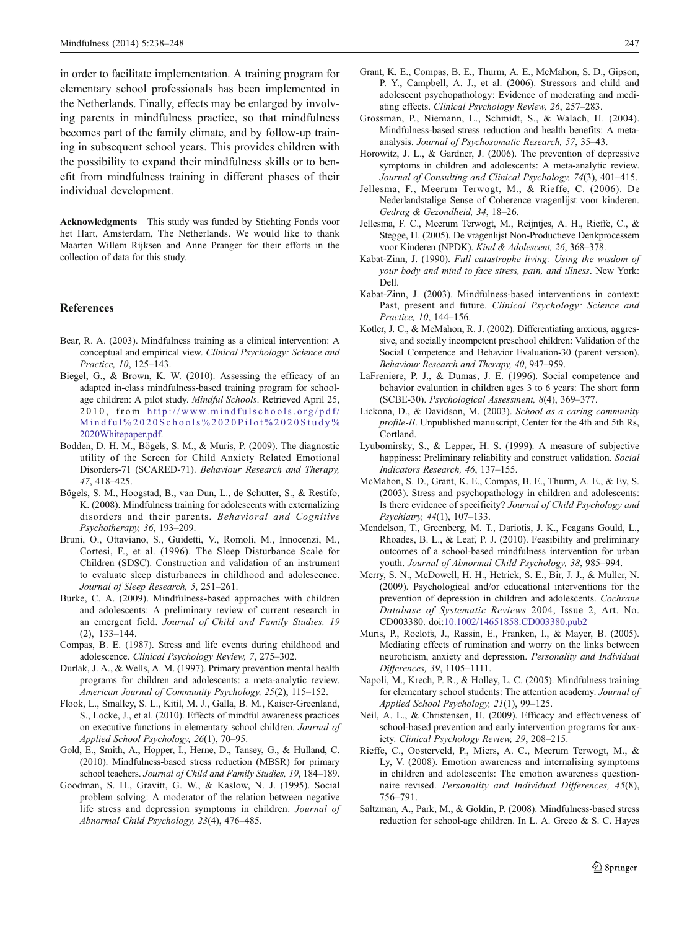<span id="page-9-0"></span>in order to facilitate implementation. A training program for elementary school professionals has been implemented in the Netherlands. Finally, effects may be enlarged by involving parents in mindfulness practice, so that mindfulness becomes part of the family climate, and by follow-up training in subsequent school years. This provides children with the possibility to expand their mindfulness skills or to benefit from mindfulness training in different phases of their individual development.

Acknowledgments This study was funded by Stichting Fonds voor het Hart, Amsterdam, The Netherlands. We would like to thank Maarten Willem Rijksen and Anne Pranger for their efforts in the collection of data for this study.

#### References

- Bear, R. A. (2003). Mindfulness training as a clinical intervention: A conceptual and empirical view. Clinical Psychology: Science and Practice, 10, 125–143.
- Biegel, G., & Brown, K. W. (2010). Assessing the efficacy of an adapted in-class mindfulness-based training program for schoolage children: A pilot study. Mindful Schools. Retrieved April 25,  $2010$ , from  $http://www.mindfulschools.org/pdf/$  $http://www.mindfulschools.org/pdf/$ [Mindful%2020Schools%2020Pilot%2020Study%](http://www.mindfulschools.org/pdf/Mindful%2020Schools%2020Pilot%2020Study%2020Whitepaper.pdf) [2020Whitepaper.pdf.](http://www.mindfulschools.org/pdf/Mindful%2020Schools%2020Pilot%2020Study%2020Whitepaper.pdf)
- Bodden, D. H. M., Bögels, S. M., & Muris, P. (2009). The diagnostic utility of the Screen for Child Anxiety Related Emotional Disorders-71 (SCARED-71). Behaviour Research and Therapy, 47, 418–425.
- Bögels, S. M., Hoogstad, B., van Dun, L., de Schutter, S., & Restifo, K. (2008). Mindfulness training for adolescents with externalizing disorders and their parents. Behavioral and Cognitive Psychotherapy, 36, 193–209.
- Bruni, O., Ottaviano, S., Guidetti, V., Romoli, M., Innocenzi, M., Cortesi, F., et al. (1996). The Sleep Disturbance Scale for Children (SDSC). Construction and validation of an instrument to evaluate sleep disturbances in childhood and adolescence. Journal of Sleep Research, 5, 251–261.
- Burke, C. A. (2009). Mindfulness-based approaches with children and adolescents: A preliminary review of current research in an emergent field. Journal of Child and Family Studies, 19 (2), 133–144.
- Compas, B. E. (1987). Stress and life events during childhood and adolescence. Clinical Psychology Review, 7, 275–302.
- Durlak, J. A., & Wells, A. M. (1997). Primary prevention mental health programs for children and adolescents: a meta-analytic review. American Journal of Community Psychology, 25(2), 115–152.
- Flook, L., Smalley, S. L., Kitil, M. J., Galla, B. M., Kaiser-Greenland, S., Locke, J., et al. (2010). Effects of mindful awareness practices on executive functions in elementary school children. Journal of Applied School Psychology, 26(1), 70–95.
- Gold, E., Smith, A., Hopper, I., Herne, D., Tansey, G., & Hulland, C. (2010). Mindfulness-based stress reduction (MBSR) for primary school teachers. Journal of Child and Family Studies, 19, 184–189.
- Goodman, S. H., Gravitt, G. W., & Kaslow, N. J. (1995). Social problem solving: A moderator of the relation between negative life stress and depression symptoms in children. Journal of Abnormal Child Psychology, 23(4), 476–485.
- Grant, K. E., Compas, B. E., Thurm, A. E., McMahon, S. D., Gipson, P. Y., Campbell, A. J., et al. (2006). Stressors and child and adolescent psychopathology: Evidence of moderating and mediating effects. Clinical Psychology Review, 26, 257–283.
- Grossman, P., Niemann, L., Schmidt, S., & Walach, H. (2004). Mindfulness-based stress reduction and health benefits: A metaanalysis. Journal of Psychosomatic Research, 57, 35–43.
- Horowitz, J. L., & Gardner, J. (2006). The prevention of depressive symptoms in children and adolescents: A meta-analytic review. Journal of Consulting and Clinical Psychology, 74(3), 401–415.
- Jellesma, F., Meerum Terwogt, M., & Rieffe, C. (2006). De Nederlandstalige Sense of Coherence vragenlijst voor kinderen. Gedrag & Gezondheid, 34, 18–26.
- Jellesma, F. C., Meerum Terwogt, M., Reijntjes, A. H., Rieffe, C., & Stegge, H. (2005). De vragenlijst Non-Productieve Denkprocessem voor Kinderen (NPDK). Kind & Adolescent, 26, 368–378.
- Kabat-Zinn, J. (1990). Full catastrophe living: Using the wisdom of your body and mind to face stress, pain, and illness. New York: Dell.
- Kabat-Zinn, J. (2003). Mindfulness-based interventions in context: Past, present and future. Clinical Psychology: Science and Practice, 10, 144–156.
- Kotler, J. C., & McMahon, R. J. (2002). Differentiating anxious, aggressive, and socially incompetent preschool children: Validation of the Social Competence and Behavior Evaluation-30 (parent version). Behaviour Research and Therapy, 40, 947–959.
- LaFreniere, P. J., & Dumas, J. E. (1996). Social competence and behavior evaluation in children ages 3 to 6 years: The short form (SCBE-30). Psychological Assessment, 8(4), 369–377.
- Lickona, D., & Davidson, M. (2003). School as a caring community profile-II. Unpublished manuscript, Center for the 4th and 5th Rs, Cortland.
- Lyubomirsky, S., & Lepper, H. S. (1999). A measure of subjective happiness: Preliminary reliability and construct validation. Social Indicators Research, 46, 137–155.
- McMahon, S. D., Grant, K. E., Compas, B. E., Thurm, A. E., & Ey, S. (2003). Stress and psychopathology in children and adolescents: Is there evidence of specificity? Journal of Child Psychology and Psychiatry, 44(1), 107–133.
- Mendelson, T., Greenberg, M. T., Dariotis, J. K., Feagans Gould, L., Rhoades, B. L., & Leaf, P. J. (2010). Feasibility and preliminary outcomes of a school-based mindfulness intervention for urban youth. Journal of Abnormal Child Psychology, 38, 985–994.
- Merry, S. N., McDowell, H. H., Hetrick, S. E., Bir, J. J., & Muller, N. (2009). Psychological and/or educational interventions for the prevention of depression in children and adolescents. Cochrane Database of Systematic Reviews 2004, Issue 2, Art. No. CD003380. doi:[10.1002/14651858.CD003380.pub2](http://dx.doi.org/10.1002/14651858.CD003380.pub2)
- Muris, P., Roelofs, J., Rassin, E., Franken, I., & Mayer, B. (2005). Mediating effects of rumination and worry on the links between neuroticism, anxiety and depression. Personality and Individual Differences, 39, 1105–1111.
- Napoli, M., Krech, P. R., & Holley, L. C. (2005). Mindfulness training for elementary school students: The attention academy. Journal of Applied School Psychology, 21(1), 99–125.
- Neil, A. L., & Christensen, H. (2009). Efficacy and effectiveness of school-based prevention and early intervention programs for anxiety. Clinical Psychology Review, 29, 208–215.
- Rieffe, C., Oosterveld, P., Miers, A. C., Meerum Terwogt, M., & Ly, V. (2008). Emotion awareness and internalising symptoms in children and adolescents: The emotion awareness questionnaire revised. Personality and Individual Differences, 45(8), 756–791.
- Saltzman, A., Park, M., & Goldin, P. (2008). Mindfulness-based stress reduction for school-age children. In L. A. Greco & S. C. Hayes